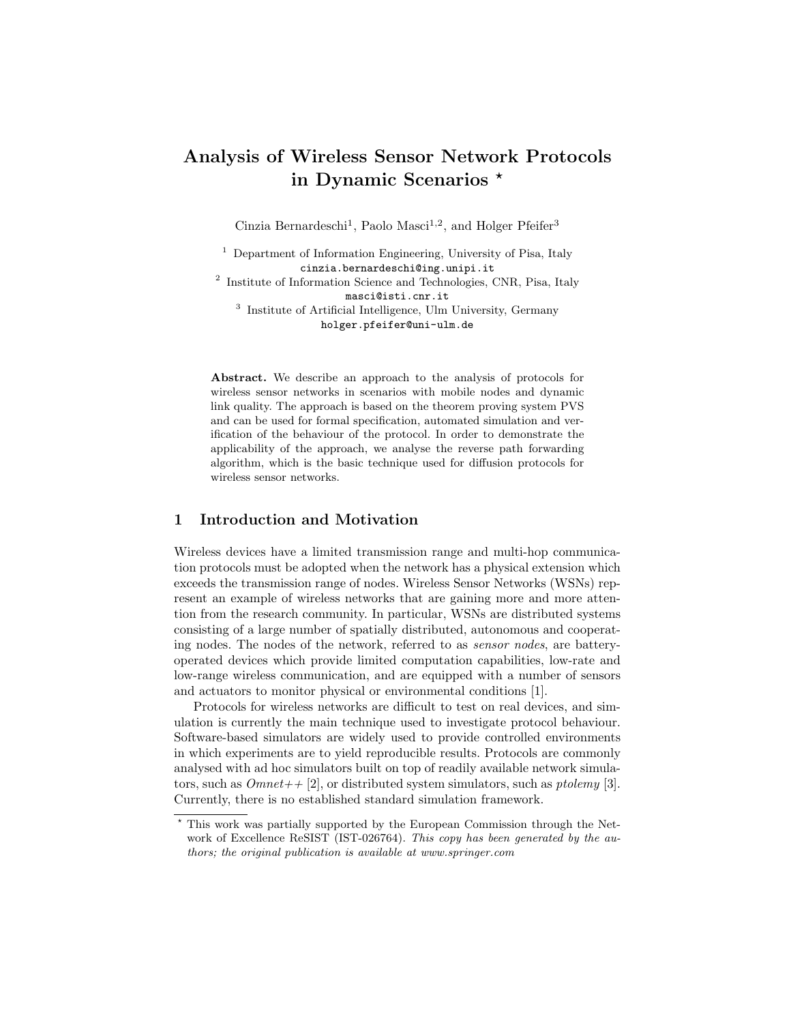# Analysis of Wireless Sensor Network Protocols in Dynamic Scenarios \*

Cinzia Bernardeschi<sup>1</sup>, Paolo Masci<sup>1,2</sup>, and Holger Pfeifer<sup>3</sup>

<sup>1</sup> Department of Information Engineering, University of Pisa, Italy cinzia.bernardeschi@ing.unipi.it

<sup>2</sup> Institute of Information Science and Technologies, CNR, Pisa, Italy masci@isti.cnr.it

<sup>3</sup> Institute of Artificial Intelligence, Ulm University, Germany holger.pfeifer@uni-ulm.de

Abstract. We describe an approach to the analysis of protocols for wireless sensor networks in scenarios with mobile nodes and dynamic link quality. The approach is based on the theorem proving system PVS and can be used for formal specification, automated simulation and verification of the behaviour of the protocol. In order to demonstrate the applicability of the approach, we analyse the reverse path forwarding algorithm, which is the basic technique used for diffusion protocols for wireless sensor networks.

### 1 Introduction and Motivation

Wireless devices have a limited transmission range and multi-hop communication protocols must be adopted when the network has a physical extension which exceeds the transmission range of nodes. Wireless Sensor Networks (WSNs) represent an example of wireless networks that are gaining more and more attention from the research community. In particular, WSNs are distributed systems consisting of a large number of spatially distributed, autonomous and cooperating nodes. The nodes of the network, referred to as sensor nodes, are batteryoperated devices which provide limited computation capabilities, low-rate and low-range wireless communication, and are equipped with a number of sensors and actuators to monitor physical or environmental conditions [1].

Protocols for wireless networks are difficult to test on real devices, and simulation is currently the main technique used to investigate protocol behaviour. Software-based simulators are widely used to provide controlled environments in which experiments are to yield reproducible results. Protocols are commonly analysed with ad hoc simulators built on top of readily available network simulators, such as  $Omega + \{2\}$ , or distributed system simulators, such as *ptolemy* [3]. Currently, there is no established standard simulation framework.

<sup>?</sup> This work was partially supported by the European Commission through the Network of Excellence ReSIST (IST-026764). This copy has been generated by the authors; the original publication is available at www.springer.com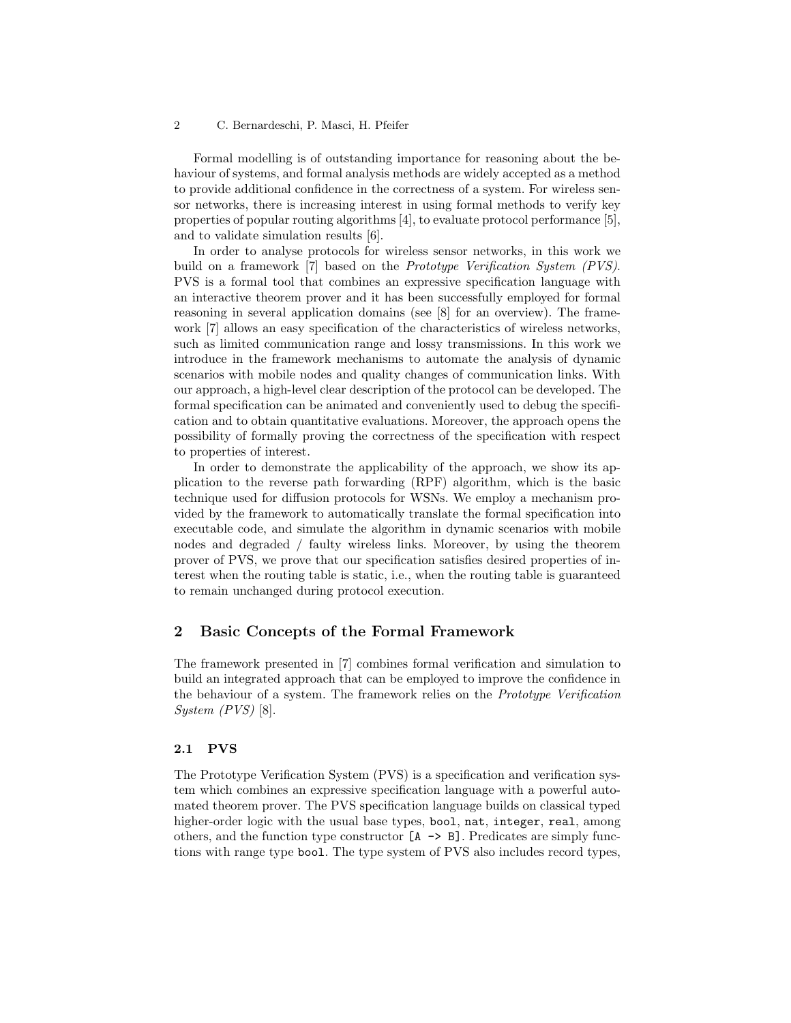#### 2 C. Bernardeschi, P. Masci, H. Pfeifer

Formal modelling is of outstanding importance for reasoning about the behaviour of systems, and formal analysis methods are widely accepted as a method to provide additional confidence in the correctness of a system. For wireless sensor networks, there is increasing interest in using formal methods to verify key properties of popular routing algorithms [4], to evaluate protocol performance [5], and to validate simulation results [6].

In order to analyse protocols for wireless sensor networks, in this work we build on a framework [7] based on the Prototype Verification System (PVS). PVS is a formal tool that combines an expressive specification language with an interactive theorem prover and it has been successfully employed for formal reasoning in several application domains (see [8] for an overview). The framework [7] allows an easy specification of the characteristics of wireless networks, such as limited communication range and lossy transmissions. In this work we introduce in the framework mechanisms to automate the analysis of dynamic scenarios with mobile nodes and quality changes of communication links. With our approach, a high-level clear description of the protocol can be developed. The formal specification can be animated and conveniently used to debug the specification and to obtain quantitative evaluations. Moreover, the approach opens the possibility of formally proving the correctness of the specification with respect to properties of interest.

In order to demonstrate the applicability of the approach, we show its application to the reverse path forwarding (RPF) algorithm, which is the basic technique used for diffusion protocols for WSNs. We employ a mechanism provided by the framework to automatically translate the formal specification into executable code, and simulate the algorithm in dynamic scenarios with mobile nodes and degraded / faulty wireless links. Moreover, by using the theorem prover of PVS, we prove that our specification satisfies desired properties of interest when the routing table is static, i.e., when the routing table is guaranteed to remain unchanged during protocol execution.

### 2 Basic Concepts of the Formal Framework

The framework presented in [7] combines formal verification and simulation to build an integrated approach that can be employed to improve the confidence in the behaviour of a system. The framework relies on the Prototype Verification System (PVS) [8].

### 2.1 PVS

The Prototype Verification System (PVS) is a specification and verification system which combines an expressive specification language with a powerful automated theorem prover. The PVS specification language builds on classical typed higher-order logic with the usual base types, bool, nat, integer, real, among others, and the function type constructor  $[A \rightarrow B]$ . Predicates are simply functions with range type bool. The type system of PVS also includes record types,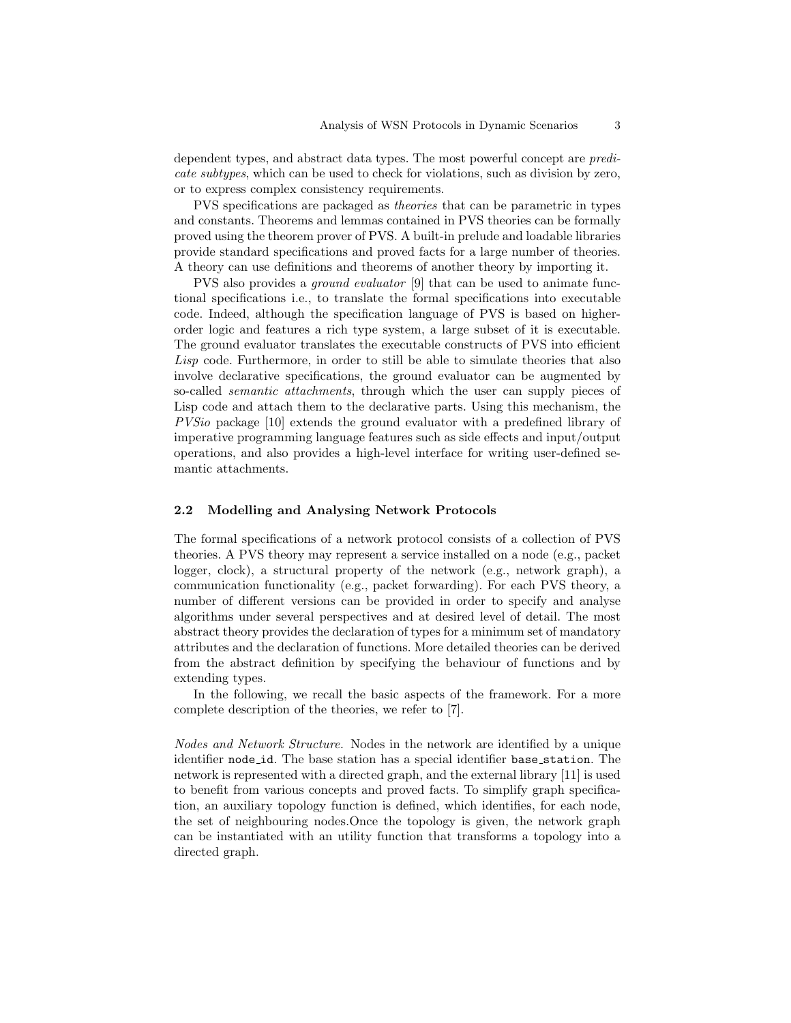dependent types, and abstract data types. The most powerful concept are predicate subtypes, which can be used to check for violations, such as division by zero, or to express complex consistency requirements.

PVS specifications are packaged as theories that can be parametric in types and constants. Theorems and lemmas contained in PVS theories can be formally proved using the theorem prover of PVS. A built-in prelude and loadable libraries provide standard specifications and proved facts for a large number of theories. A theory can use definitions and theorems of another theory by importing it.

PVS also provides a ground evaluator [9] that can be used to animate functional specifications i.e., to translate the formal specifications into executable code. Indeed, although the specification language of PVS is based on higherorder logic and features a rich type system, a large subset of it is executable. The ground evaluator translates the executable constructs of PVS into efficient Lisp code. Furthermore, in order to still be able to simulate theories that also involve declarative specifications, the ground evaluator can be augmented by so-called *semantic attachments*, through which the user can supply pieces of Lisp code and attach them to the declarative parts. Using this mechanism, the PVSio package [10] extends the ground evaluator with a predefined library of imperative programming language features such as side effects and input/output operations, and also provides a high-level interface for writing user-defined semantic attachments.

### 2.2 Modelling and Analysing Network Protocols

The formal specifications of a network protocol consists of a collection of PVS theories. A PVS theory may represent a service installed on a node (e.g., packet logger, clock), a structural property of the network (e.g., network graph), a communication functionality (e.g., packet forwarding). For each PVS theory, a number of different versions can be provided in order to specify and analyse algorithms under several perspectives and at desired level of detail. The most abstract theory provides the declaration of types for a minimum set of mandatory attributes and the declaration of functions. More detailed theories can be derived from the abstract definition by specifying the behaviour of functions and by extending types.

In the following, we recall the basic aspects of the framework. For a more complete description of the theories, we refer to [7].

Nodes and Network Structure. Nodes in the network are identified by a unique identifier node id. The base station has a special identifier base station. The network is represented with a directed graph, and the external library [11] is used to benefit from various concepts and proved facts. To simplify graph specification, an auxiliary topology function is defined, which identifies, for each node, the set of neighbouring nodes.Once the topology is given, the network graph can be instantiated with an utility function that transforms a topology into a directed graph.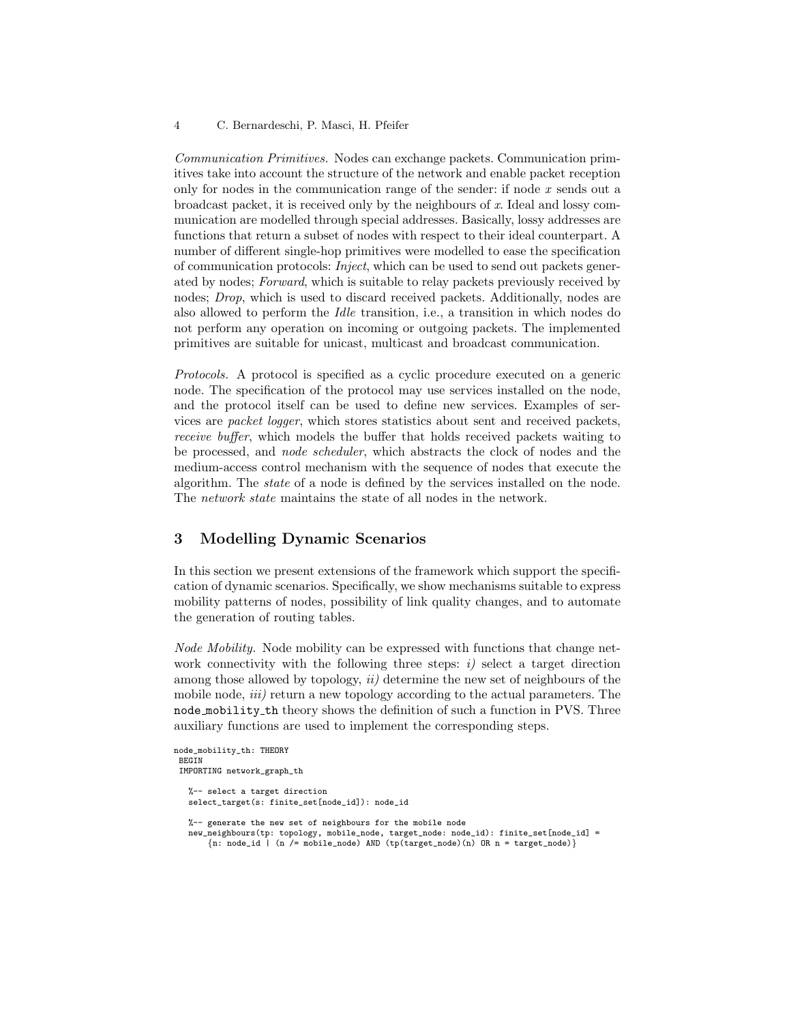#### 4 C. Bernardeschi, P. Masci, H. Pfeifer

Communication Primitives. Nodes can exchange packets. Communication primitives take into account the structure of the network and enable packet reception only for nodes in the communication range of the sender: if node x sends out a broadcast packet, it is received only by the neighbours of  $x$ . Ideal and lossy communication are modelled through special addresses. Basically, lossy addresses are functions that return a subset of nodes with respect to their ideal counterpart. A number of different single-hop primitives were modelled to ease the specification of communication protocols: Inject, which can be used to send out packets generated by nodes; Forward, which is suitable to relay packets previously received by nodes; Drop, which is used to discard received packets. Additionally, nodes are also allowed to perform the Idle transition, i.e., a transition in which nodes do not perform any operation on incoming or outgoing packets. The implemented primitives are suitable for unicast, multicast and broadcast communication.

Protocols. A protocol is specified as a cyclic procedure executed on a generic node. The specification of the protocol may use services installed on the node, and the protocol itself can be used to define new services. Examples of services are packet logger, which stores statistics about sent and received packets, receive buffer, which models the buffer that holds received packets waiting to be processed, and node scheduler, which abstracts the clock of nodes and the medium-access control mechanism with the sequence of nodes that execute the algorithm. The state of a node is defined by the services installed on the node. The network state maintains the state of all nodes in the network.

# 3 Modelling Dynamic Scenarios

In this section we present extensions of the framework which support the specification of dynamic scenarios. Specifically, we show mechanisms suitable to express mobility patterns of nodes, possibility of link quality changes, and to automate the generation of routing tables.

Node Mobility. Node mobility can be expressed with functions that change network connectivity with the following three steps:  $i$ ) select a target direction among those allowed by topology,  $ii)$  determine the new set of neighbours of the mobile node, *iii*) return a new topology according to the actual parameters. The node mobility th theory shows the definition of such a function in PVS. Three auxiliary functions are used to implement the corresponding steps.

```
node_mobility_th: THEORY
 BEGIN
 IMPORTING network_graph_th
    %-- select a target direction
    select_target(s: finite_set[node_id]): node_id
    %-- generate the new set of neighbours for the mobile node
     new_neighbours(tp: topology, mobile_node, target_node: node_id): finite_set[node_id] = \{n: \text{ node}\_id | (n /= \text{ mobile}\_node) \text{ AND } (\text{tp}(\text{target}\_node)(n) \text{ OR } n = \text{target}\_node)\}
```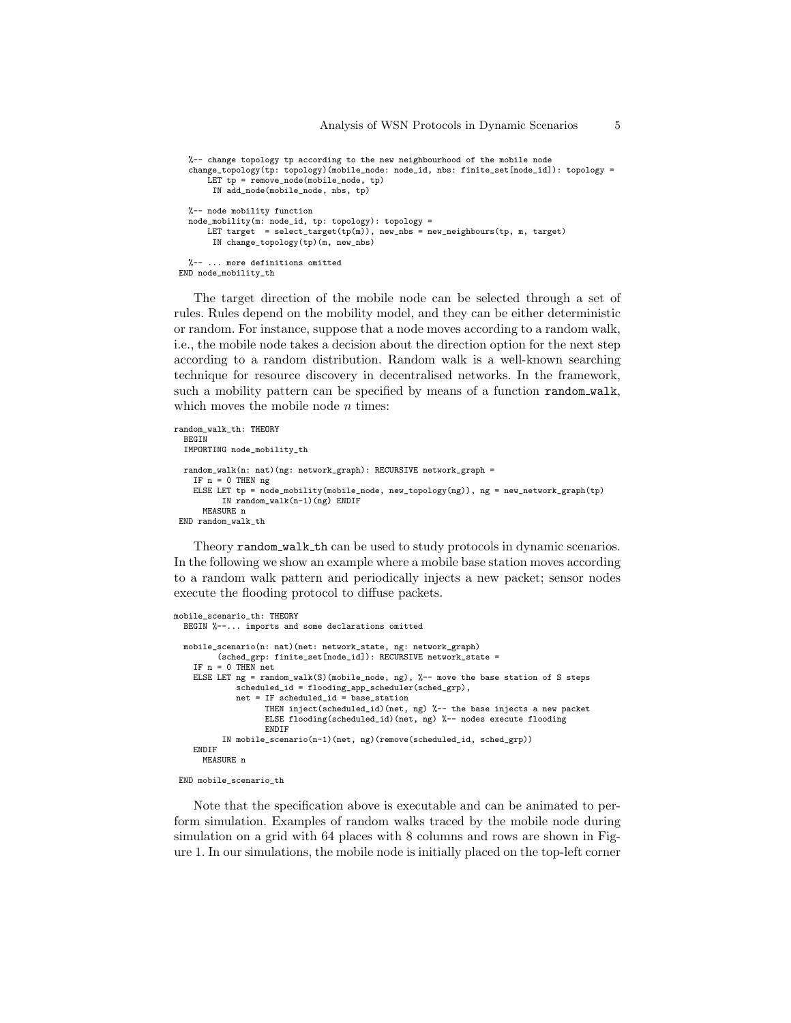```
%-- change topology tp according to the new neighbourhood of the mobile node
  change_topology(tp: topology)(mobile_node: node_id, nbs: finite_set[node_id]): topology =
      LET tp = remove\_node(mobile\_node, tp)IN add_node(mobile_node, nbs, tp)
  %-- node mobility function
  node_mobility(m: node_id, tp: topology): topology =
      LET target = select_target(tp(m)), new_nbs = new_neighbours(tp, m, target)
      IN change_topology(tp)(m, new_nbs)
  %-- ... more definitions omitted
END node_mobility_th
```
The target direction of the mobile node can be selected through a set of rules. Rules depend on the mobility model, and they can be either deterministic or random. For instance, suppose that a node moves according to a random walk, i.e., the mobile node takes a decision about the direction option for the next step according to a random distribution. Random walk is a well-known searching technique for resource discovery in decentralised networks. In the framework, such a mobility pattern can be specified by means of a function random walk, which moves the mobile node  $n$  times:

```
random_walk_th: THEORY
 BEGIN
 IMPORTING node_mobility_th
 random_walk(n: nat)(ng: network_graph): RECURSIVE network_graph =
    IF n = 0 THEN n \epsilonELSE LET tp = node_mobility(mobile_node, new_topology(ng)), ng = new_network_graph(tp)
          IN random_walk(n-1)(ng) ENDIF
      MEASURE n
END random_walk_th
```
Theory random walk th can be used to study protocols in dynamic scenarios. In the following we show an example where a mobile base station moves according to a random walk pattern and periodically injects a new packet; sensor nodes execute the flooding protocol to diffuse packets.

```
mobile_scenario_th: THEORY
 BEGIN %--... imports and some declarations omitted
 mobile_scenario(n: nat)(net: network_state, ng: network_graph)
         (sched_grp: finite_set[node_id]): RECURSIVE network_state =
   IF n = 0 THEN net
   ELSE LET ng = random_value(S) (mobile-node, ng), %-- move the base station of S steps
             scheduled_id = flooding_app_scheduler(sched_grp),
            net = IF scheduled_id = base_station
                   THEN inject(scheduled_id)(net, ng) %-- the base injects a new packet
                   ELSE flooding(scheduled_id)(net, ng) %-- nodes execute flooding
                   ENDIF
          IN mobile_scenario(n-1)(net, ng)(remove(scheduled_id, sched_grp))
   ENDIF
     MEASURE n
```
END mobile\_scenario\_th

Note that the specification above is executable and can be animated to perform simulation. Examples of random walks traced by the mobile node during simulation on a grid with 64 places with 8 columns and rows are shown in Figure 1. In our simulations, the mobile node is initially placed on the top-left corner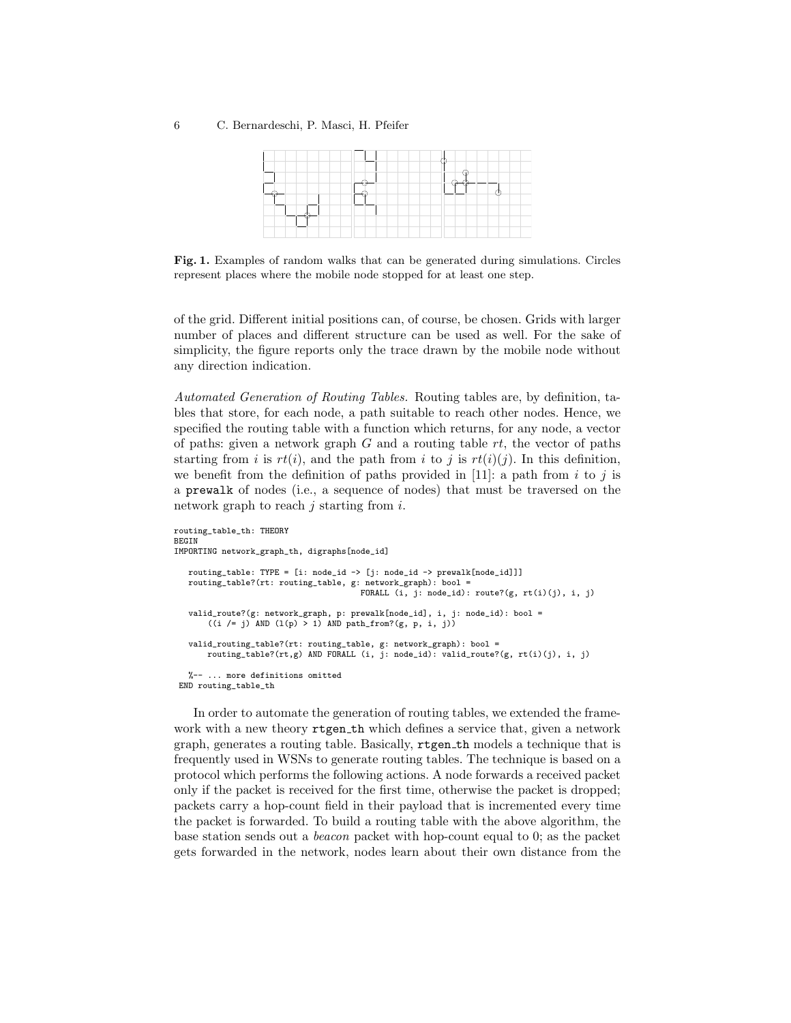#### 6 C. Bernardeschi, P. Masci, H. Pfeifer



Fig. 1. Examples of random walks that can be generated during simulations. Circles represent places where the mobile node stopped for at least one step.

of the grid. Different initial positions can, of course, be chosen. Grids with larger number of places and different structure can be used as well. For the sake of simplicity, the figure reports only the trace drawn by the mobile node without any direction indication.

Automated Generation of Routing Tables. Routing tables are, by definition, tables that store, for each node, a path suitable to reach other nodes. Hence, we specified the routing table with a function which returns, for any node, a vector of paths: given a network graph  $G$  and a routing table  $rt$ , the vector of paths starting from i is  $rt(i)$ , and the path from i to j is  $rt(i)(j)$ . In this definition, we benefit from the definition of paths provided in [11]: a path from i to j is a prewalk of nodes (i.e., a sequence of nodes) that must be traversed on the network graph to reach  $j$  starting from  $i$ .

```
routing_table_th: THEORY
BEGIN
IMPORTING network_graph_th, digraphs[node_id]
   routing_table: TYPE = [i: node_id -> [j: node_id -> prewalk[node_id]]]
  routing_table?(rt: routing_table, g: network_graph): bool =
                                       FORALL (i, j: node_id): route?(g, rt(i)(j), i, j)
   valid_route?(g: network_graph, p: prewalk[node_id], i, j: node_id): bool =
       ((i /= j) AND (1(p) > 1) AND path_from?(g, p, i, j))
   valid_routing_table?(rt: routing_table, g: network_graph): bool =
      routing_table?(rt,g) AND FORALL (i, j: node_id): valid_route?(g, rt(i)(j), i, j)
  %-- ... more definitions omitted
 END routing_table_th
```
In order to automate the generation of routing tables, we extended the framework with a new theory **rtgen\_th** which defines a service that, given a network graph, generates a routing table. Basically, rtgen th models a technique that is frequently used in WSNs to generate routing tables. The technique is based on a protocol which performs the following actions. A node forwards a received packet only if the packet is received for the first time, otherwise the packet is dropped; packets carry a hop-count field in their payload that is incremented every time the packet is forwarded. To build a routing table with the above algorithm, the base station sends out a beacon packet with hop-count equal to 0; as the packet gets forwarded in the network, nodes learn about their own distance from the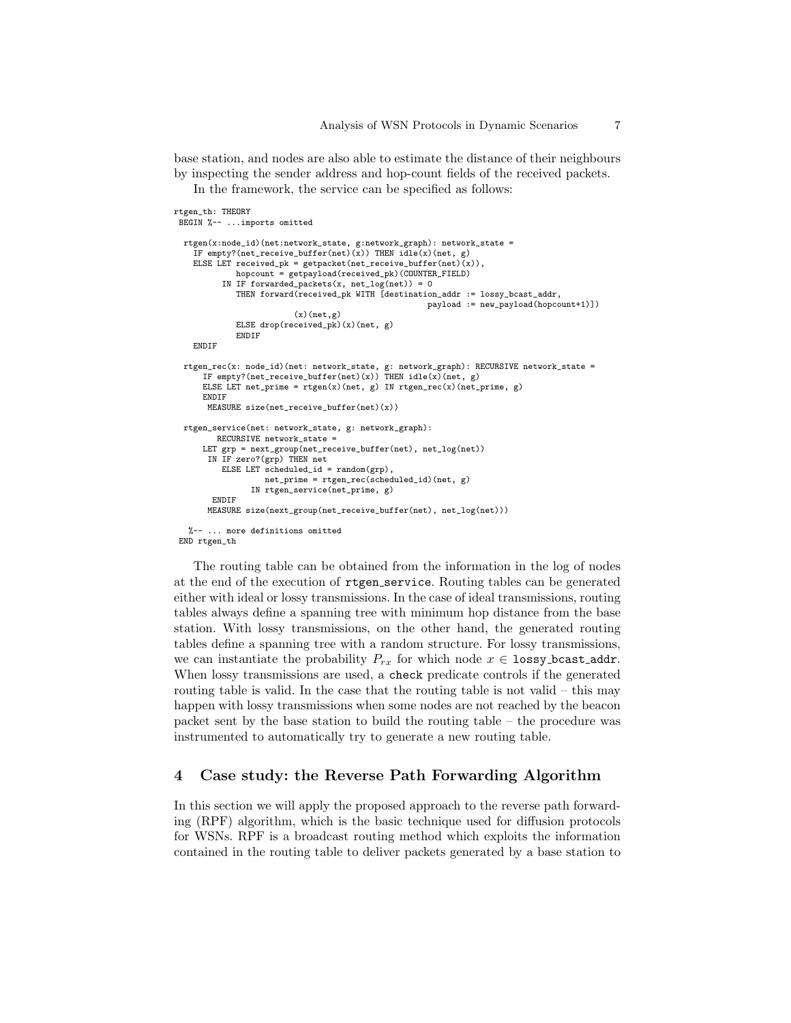base station, and nodes are also able to estimate the distance of their neighbours by inspecting the sender address and hop-count fields of the received packets.

In the framework, the service can be specified as follows:

```
rtgen_th: THEORY
BEGIN %-- ...imports omitted
 rtgen(x:node_id)(net:network_state, g:network_graph): network_state =
    IF empty?(net_receive_buffer(net)(x)) THEN idle(x)(net, g)
    ELSE LET received_pk = getpacket(net_receive_buffer(net)(x)),
             hopcount = getpayload(received_pk)(COUNTER_FIELD)
          IN IF forwarded_packets(x, net_log(net)) = 0
             THEN forward(received_pk WITH [destination_addr := lossy_bcast_addr,
                                                       payload := new_payload(hopcount+1)])
                          (x)(net,e)ELSE drop(received_pk)(x)(net, g)
             ENDIF
    ENDIF
 rtgen_rec(x: node_id)(net: network_state, g: network_graph): RECURSIVE network_state =
      IF empty?(net_receive_buffer(net)(x)) THEN idle(x)(net, g)
ELSE LET net_prime = rtgen(x)(net, g) IN rtgen_rec(x)(net_prime, g)
      ENDIF
       MEASURE size(net_receive_buffer(net)(x))
 rtgen_service(net: network_state, g: network_graph):
         RECURSIVE network_state =
      LET grp = next_group(net_receive_buffer(net), net_log(net))
       IN IF zero?(grp) THEN net
          ELSE LET scheduled_id = random(grp),
                   net_prime = rtgen_rec(scheduled_id)(net, g)
                 IN rtgen_service(net_prime, g)
        ENDIF
       MEASURE size(next_group(net_receive_buffer(net), net_log(net)))
   %-- ... more definitions omitted
END rtgen_th
```
The routing table can be obtained from the information in the log of nodes at the end of the execution of rtgen service. Routing tables can be generated either with ideal or lossy transmissions. In the case of ideal transmissions, routing tables always define a spanning tree with minimum hop distance from the base station. With lossy transmissions, on the other hand, the generated routing tables define a spanning tree with a random structure. For lossy transmissions, we can instantiate the probability  $P_{rx}$  for which node  $x \in$  lossy\_bcast\_addr. When lossy transmissions are used, a check predicate controls if the generated routing table is valid. In the case that the routing table is not valid – this may happen with lossy transmissions when some nodes are not reached by the beacon packet sent by the base station to build the routing table – the procedure was instrumented to automatically try to generate a new routing table.

### 4 Case study: the Reverse Path Forwarding Algorithm

In this section we will apply the proposed approach to the reverse path forwarding (RPF) algorithm, which is the basic technique used for diffusion protocols for WSNs. RPF is a broadcast routing method which exploits the information contained in the routing table to deliver packets generated by a base station to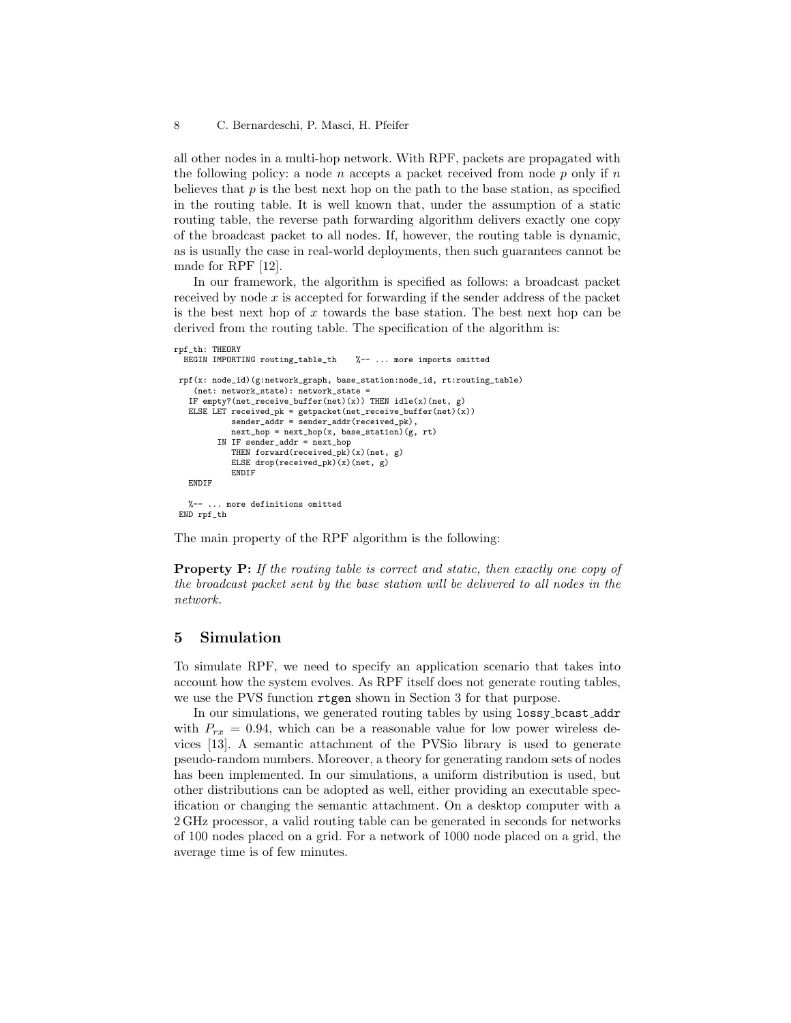all other nodes in a multi-hop network. With RPF, packets are propagated with the following policy: a node n accepts a packet received from node p only if  $n$ believes that  $p$  is the best next hop on the path to the base station, as specified in the routing table. It is well known that, under the assumption of a static routing table, the reverse path forwarding algorithm delivers exactly one copy of the broadcast packet to all nodes. If, however, the routing table is dynamic, as is usually the case in real-world deployments, then such guarantees cannot be made for RPF [12].

In our framework, the algorithm is specified as follows: a broadcast packet received by node  $x$  is accepted for forwarding if the sender address of the packet is the best next hop of  $x$  towards the base station. The best next hop can be derived from the routing table. The specification of the algorithm is:

```
rpf_th: THEORY
 BEGIN IMPORTING routing_table_th %-- ... more imports omitted
 rpf(x: node_id)(g:network_graph, base_station:node_id, rt:routing_table)
    (net: network_state): network_state =
   IF empty?(net_receive_buffer(net)(x)) THEN idle(x)(net, g)
  ELSE LET received_pk = getpacket(net_receive_buffer(net)(x))
           sender_addr = sender_addr(received_pk),
            next_hop = next_hop(x, base_station)(g, rt)
         IN IF sender_addr = next_hop
           THEN forward(received_pk)(x)(net, g)
            ELSE drop(received_pk)(x)(net, g)
           ENDIF
  ENDIF
  %-- ... more definitions omitted
END rpf_th
```
The main property of the RPF algorithm is the following:

**Property P:** If the routing table is correct and static, then exactly one copy of the broadcast packet sent by the base station will be delivered to all nodes in the network.

## 5 Simulation

To simulate RPF, we need to specify an application scenario that takes into account how the system evolves. As RPF itself does not generate routing tables, we use the PVS function rtgen shown in Section 3 for that purpose.

In our simulations, we generated routing tables by using lossy bcast addr with  $P_{rx} = 0.94$ , which can be a reasonable value for low power wireless devices [13]. A semantic attachment of the PVSio library is used to generate pseudo-random numbers. Moreover, a theory for generating random sets of nodes has been implemented. In our simulations, a uniform distribution is used, but other distributions can be adopted as well, either providing an executable specification or changing the semantic attachment. On a desktop computer with a 2 GHz processor, a valid routing table can be generated in seconds for networks of 100 nodes placed on a grid. For a network of 1000 node placed on a grid, the average time is of few minutes.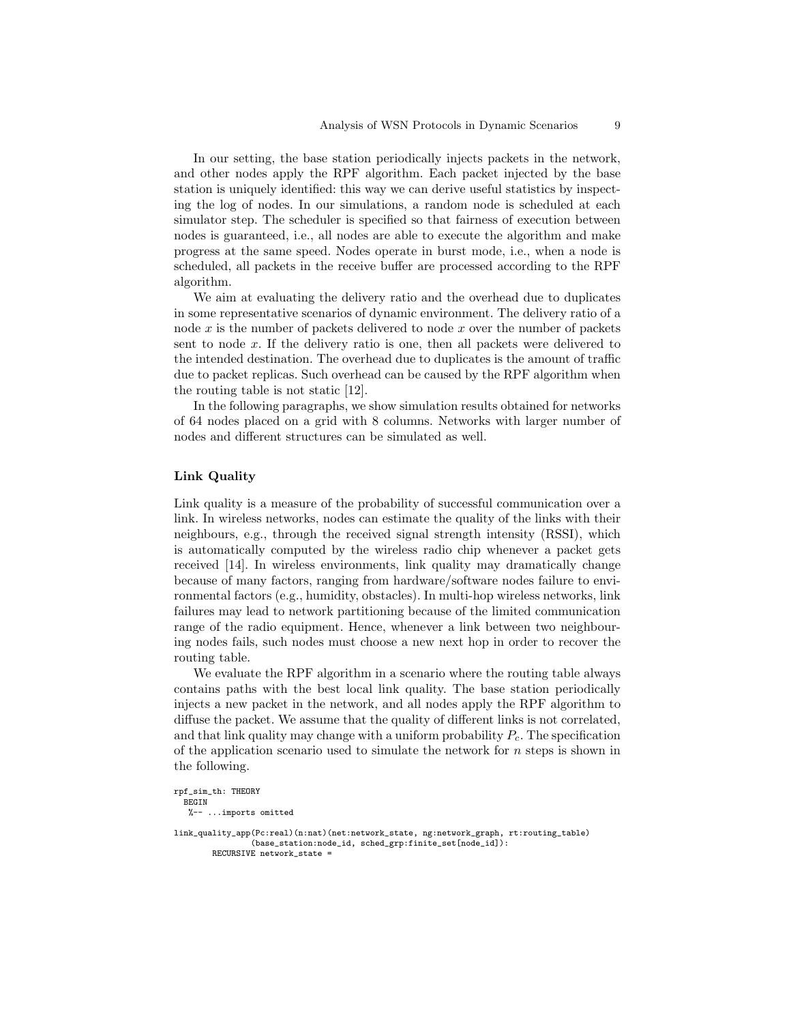In our setting, the base station periodically injects packets in the network, and other nodes apply the RPF algorithm. Each packet injected by the base station is uniquely identified: this way we can derive useful statistics by inspecting the log of nodes. In our simulations, a random node is scheduled at each simulator step. The scheduler is specified so that fairness of execution between nodes is guaranteed, i.e., all nodes are able to execute the algorithm and make progress at the same speed. Nodes operate in burst mode, i.e., when a node is scheduled, all packets in the receive buffer are processed according to the RPF algorithm.

We aim at evaluating the delivery ratio and the overhead due to duplicates in some representative scenarios of dynamic environment. The delivery ratio of a node  $x$  is the number of packets delivered to node  $x$  over the number of packets sent to node  $x$ . If the delivery ratio is one, then all packets were delivered to the intended destination. The overhead due to duplicates is the amount of traffic due to packet replicas. Such overhead can be caused by the RPF algorithm when the routing table is not static [12].

In the following paragraphs, we show simulation results obtained for networks of 64 nodes placed on a grid with 8 columns. Networks with larger number of nodes and different structures can be simulated as well.

### Link Quality

Link quality is a measure of the probability of successful communication over a link. In wireless networks, nodes can estimate the quality of the links with their neighbours, e.g., through the received signal strength intensity (RSSI), which is automatically computed by the wireless radio chip whenever a packet gets received [14]. In wireless environments, link quality may dramatically change because of many factors, ranging from hardware/software nodes failure to environmental factors (e.g., humidity, obstacles). In multi-hop wireless networks, link failures may lead to network partitioning because of the limited communication range of the radio equipment. Hence, whenever a link between two neighbouring nodes fails, such nodes must choose a new next hop in order to recover the routing table.

We evaluate the RPF algorithm in a scenario where the routing table always contains paths with the best local link quality. The base station periodically injects a new packet in the network, and all nodes apply the RPF algorithm to diffuse the packet. We assume that the quality of different links is not correlated, and that link quality may change with a uniform probability  $P_c$ . The specification of the application scenario used to simulate the network for  $n$  steps is shown in the following.

```
rpf_sim_th: THEORY
 BEGIN
  %-- ...imports omitted
link_quality_app(Pc:real)(n:nat)(net:network_state, ng:network_graph, rt:routing_table)
```

```
(base_station:node_id, sched_grp:finite_set[node_id]):
RECURSIVE network_state =
```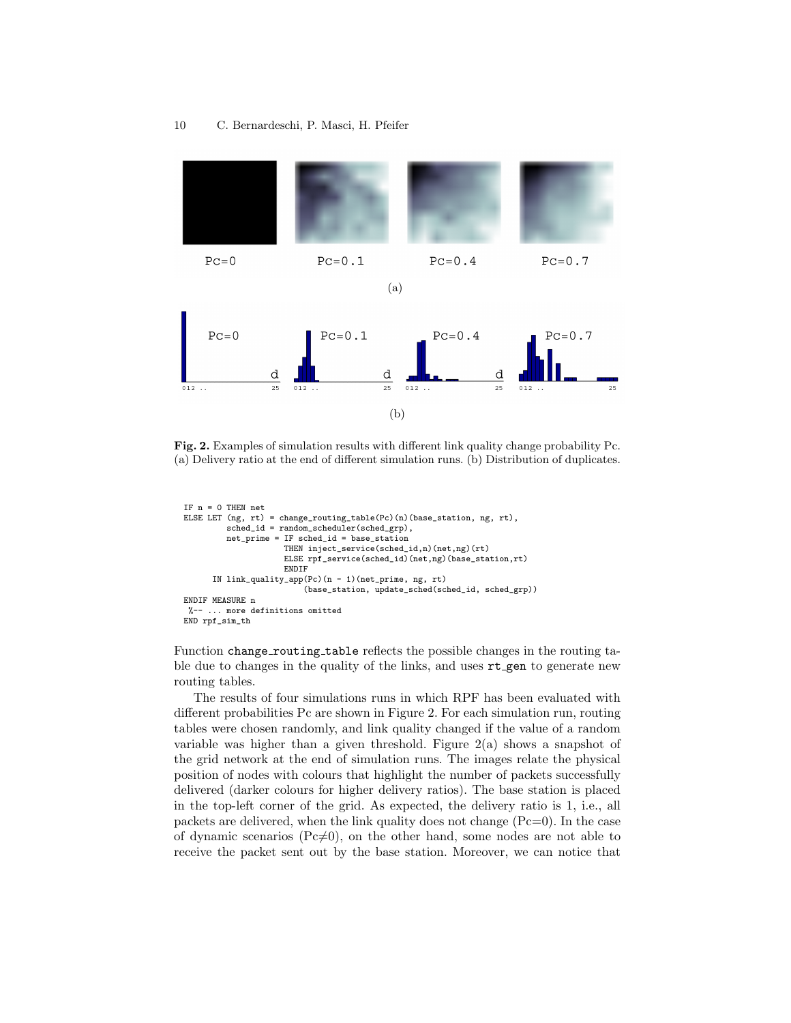

Fig. 2. Examples of simulation results with different link quality change probability Pc. (a) Delivery ratio at the end of different simulation runs. (b) Distribution of duplicates.

```
IF n = 0 THEN net
ELSE LET (ng, rt) = change_routing_table(Pc)(n)(base_station, ng, rt),
         sched_id = random_scheduler(sched_grp),
         net_prime = IF sched_id = base_station
                     THEN inject_service(sched_id,n)(net,ng)(rt)
                     ELSE rpf_service(sched_id)(net,ng)(base_station,rt)
                     ENDIF
      IN link_quality_app(Pc)(n - 1)(net_prime, ng, rt)
                         (base_station, update_sched(sched_id, sched_grp))
ENDIF MEASURE n
 %-- ... more definitions omitted
END rpf_sim_th
```
Function change routing table reflects the possible changes in the routing table due to changes in the quality of the links, and uses  $rt$ -gen to generate new routing tables.

The results of four simulations runs in which RPF has been evaluated with different probabilities Pc are shown in Figure 2. For each simulation run, routing tables were chosen randomly, and link quality changed if the value of a random variable was higher than a given threshold. Figure  $2(a)$  shows a snapshot of the grid network at the end of simulation runs. The images relate the physical position of nodes with colours that highlight the number of packets successfully delivered (darker colours for higher delivery ratios). The base station is placed in the top-left corner of the grid. As expected, the delivery ratio is 1, i.e., all packets are delivered, when the link quality does not change  $(Pc=0)$ . In the case of dynamic scenarios ( $Pc\neq0$ ), on the other hand, some nodes are not able to receive the packet sent out by the base station. Moreover, we can notice that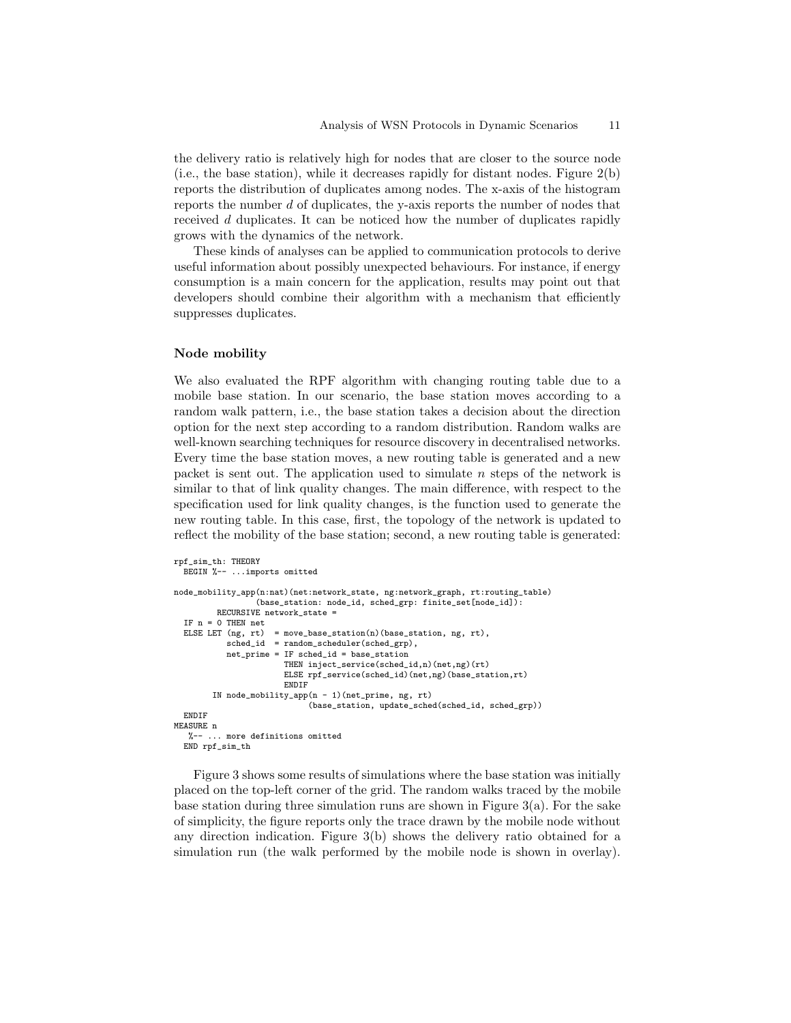the delivery ratio is relatively high for nodes that are closer to the source node (i.e., the base station), while it decreases rapidly for distant nodes. Figure 2(b) reports the distribution of duplicates among nodes. The x-axis of the histogram reports the number  $d$  of duplicates, the y-axis reports the number of nodes that received d duplicates. It can be noticed how the number of duplicates rapidly grows with the dynamics of the network.

These kinds of analyses can be applied to communication protocols to derive useful information about possibly unexpected behaviours. For instance, if energy consumption is a main concern for the application, results may point out that developers should combine their algorithm with a mechanism that efficiently suppresses duplicates.

### Node mobility

We also evaluated the RPF algorithm with changing routing table due to a mobile base station. In our scenario, the base station moves according to a random walk pattern, i.e., the base station takes a decision about the direction option for the next step according to a random distribution. Random walks are well-known searching techniques for resource discovery in decentralised networks. Every time the base station moves, a new routing table is generated and a new packet is sent out. The application used to simulate n steps of the network is similar to that of link quality changes. The main difference, with respect to the specification used for link quality changes, is the function used to generate the new routing table. In this case, first, the topology of the network is updated to reflect the mobility of the base station; second, a new routing table is generated:

```
rpf_sim_th: THEORY
 BEGIN %-- ...imports omitted
node_mobility_app(n:nat)(net:network_state, ng:network_graph, rt:routing_table)
                  (base_station: node_id, sched_grp: finite_set[node_id]):
         RECURSIVE network_state =
 IF n = 0 THEN net<br>ELSE LET (ng, rt)= move_base_station(n)(base_station, ng, rt),
           sched_id = random_scheduler(sched_grp),
           net_prime = IF sched_id = base_station
                       THEN inject_service(sched_id,n)(net,ng)(rt)
                       ELSE rpf_service(sched_id)(net,ng)(base_station,rt)
                       ENDIF
        IN node_mobility_app(n - 1)(net_prime, ng, rt)
                             (base_station, update_sched(sched_id, sched_grp))
 ENDIF
MEASURE n
  %-- ... more definitions omitted
 END rpf_sim_th
```
Figure 3 shows some results of simulations where the base station was initially placed on the top-left corner of the grid. The random walks traced by the mobile base station during three simulation runs are shown in Figure  $3(a)$ . For the sake of simplicity, the figure reports only the trace drawn by the mobile node without any direction indication. Figure 3(b) shows the delivery ratio obtained for a simulation run (the walk performed by the mobile node is shown in overlay).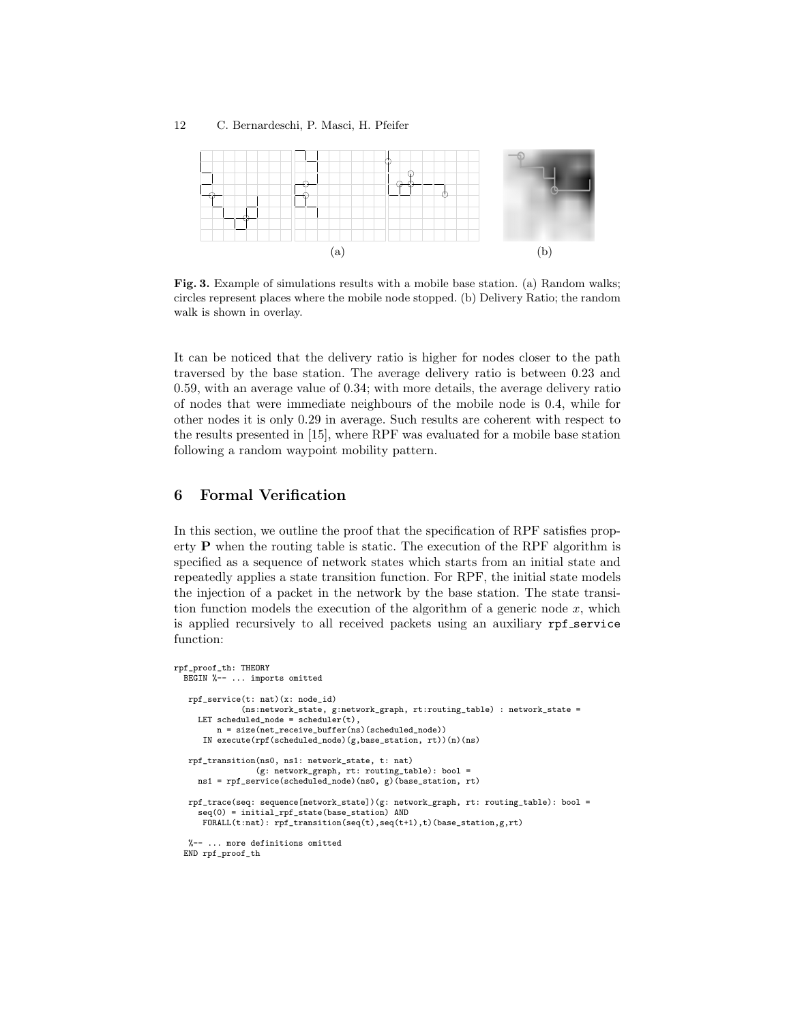

Fig. 3. Example of simulations results with a mobile base station. (a) Random walks; circles represent places where the mobile node stopped. (b) Delivery Ratio; the random walk is shown in overlay.

It can be noticed that the delivery ratio is higher for nodes closer to the path traversed by the base station. The average delivery ratio is between 0.23 and 0.59, with an average value of 0.34; with more details, the average delivery ratio of nodes that were immediate neighbours of the mobile node is 0.4, while for other nodes it is only 0.29 in average. Such results are coherent with respect to the results presented in [15], where RPF was evaluated for a mobile base station following a random waypoint mobility pattern.

### 6 Formal Verification

In this section, we outline the proof that the specification of RPF satisfies property P when the routing table is static. The execution of the RPF algorithm is specified as a sequence of network states which starts from an initial state and repeatedly applies a state transition function. For RPF, the initial state models the injection of a packet in the network by the base station. The state transition function models the execution of the algorithm of a generic node  $x$ , which is applied recursively to all received packets using an auxiliary rpf service function:

```
rpf_proof_th: THEORY
  BEGIN %-- ... imports omitted
  rpf_service(t: nat)(x: node_id)
              (ns:network_state, g:network_graph, rt:routing_table) : network_state =
     LET scheduled_node = scheduler(t),
         n = size(net_receive_buffer(ns)(scheduled_node))
      IN execute(rpf(scheduled_node)(g,base_station, rt))(n)(ns)
  rpf_transition(ns0, ns1: network_state, t: nat)
                 (g: network_graph, rt: routing_table): bool =
     ns1 = rpf_service(scheduled_node)(ns0, g)(base_station, rt)
  rpf_trace(seq: sequence[network_state])(g: network_graph, rt: routing_table): bool =
     seq(0) = initial_rpf_state(base_station) AND
     FORALL(t:nat): \text{rpf\_transition}(\text{seq}(t),\text{seq}(t+1),t)(base_station,g,rt)
  %-- ... more definitions omitted
 END rpf_proof_th
```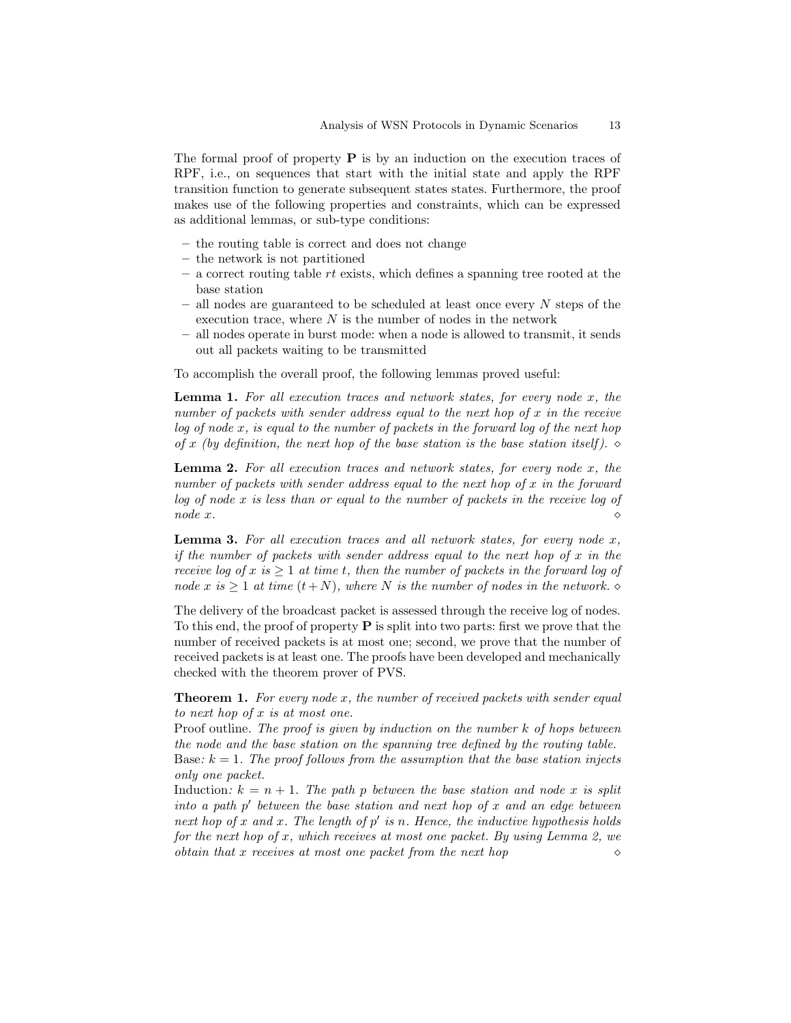The formal proof of property  $P$  is by an induction on the execution traces of RPF, i.e., on sequences that start with the initial state and apply the RPF transition function to generate subsequent states states. Furthermore, the proof makes use of the following properties and constraints, which can be expressed as additional lemmas, or sub-type conditions:

- the routing table is correct and does not change
- the network is not partitioned
- $-$  a correct routing table rt exists, which defines a spanning tree rooted at the base station
- $-$  all nodes are guaranteed to be scheduled at least once every N steps of the execution trace, where  $N$  is the number of nodes in the network
- all nodes operate in burst mode: when a node is allowed to transmit, it sends out all packets waiting to be transmitted

To accomplish the overall proof, the following lemmas proved useful:

**Lemma 1.** For all execution traces and network states, for every node  $x$ , the number of packets with sender address equal to the next hop of  $x$  in the receive log of node x, is equal to the number of packets in the forward log of the next hop of x (by definition, the next hop of the base station is the base station itself).  $\diamond$ 

**Lemma 2.** For all execution traces and network states, for every node  $x$ , the number of packets with sender address equal to the next hop of x in the forward log of node x is less than or equal to the number of packets in the receive log of  $node \ x.$ 

**Lemma 3.** For all execution traces and all network states, for every node  $x$ , if the number of packets with sender address equal to the next hop of  $x$  in the receive log of x is  $\geq 1$  at time t, then the number of packets in the forward log of node x is > 1 at time  $(t + N)$ , where N is the number of nodes in the network.

The delivery of the broadcast packet is assessed through the receive log of nodes. To this end, the proof of property  $P$  is split into two parts: first we prove that the number of received packets is at most one; second, we prove that the number of received packets is at least one. The proofs have been developed and mechanically checked with the theorem prover of PVS.

**Theorem 1.** For every node  $x$ , the number of received packets with sender equal to next hop of x is at most one.

Proof outline. The proof is given by induction on the number k of hops between the node and the base station on the spanning tree defined by the routing table. Base:  $k = 1$ . The proof follows from the assumption that the base station injects only one packet.

Induction:  $k = n + 1$ . The path p between the base station and node x is split into a path  $p'$  between the base station and next hop of x and an edge between next hop of x and x. The length of  $p'$  is n. Hence, the inductive hypothesis holds for the next hop of x, which receives at most one packet. By using Lemma 2, we obtain that x receives at most one packet from the next hop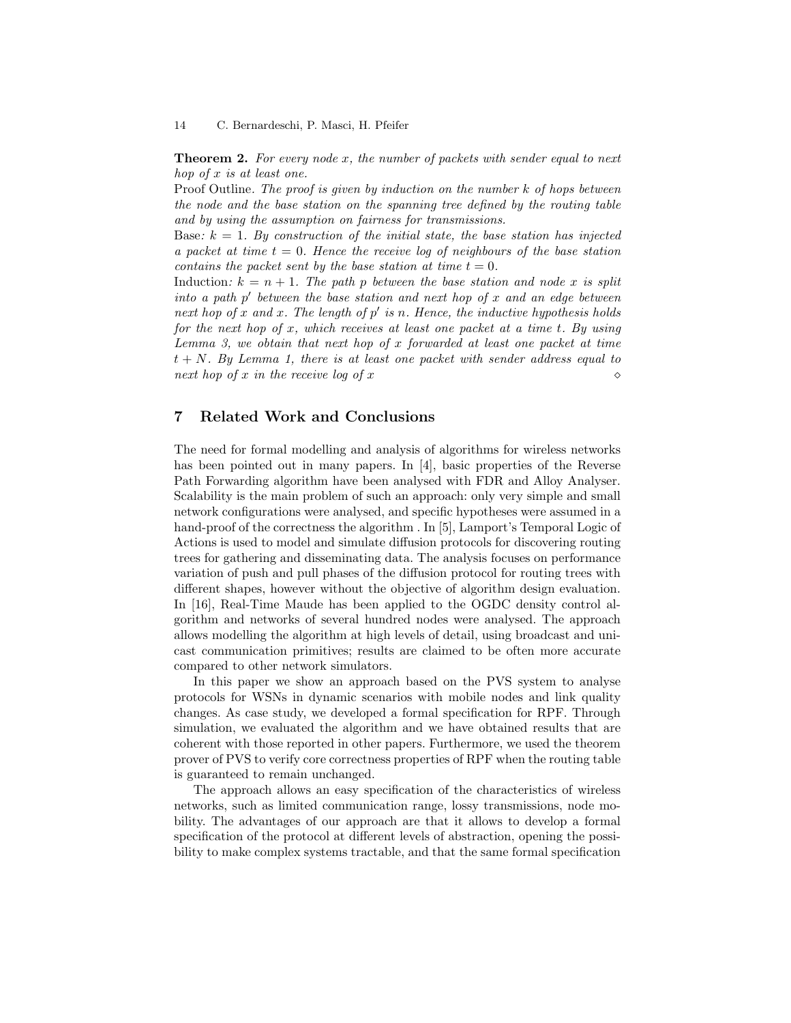**Theorem 2.** For every node  $x$ , the number of packets with sender equal to next hop of x is at least one.

Proof Outline. The proof is given by induction on the number k of hops between the node and the base station on the spanning tree defined by the routing table and by using the assumption on fairness for transmissions.

Base:  $k = 1$ . By construction of the initial state, the base station has injected a packet at time  $t = 0$ . Hence the receive log of neighbours of the base station contains the packet sent by the base station at time  $t = 0$ .

Induction:  $k = n + 1$ . The path p between the base station and node x is split into a path  $p'$  between the base station and next hop of x and an edge between next hop of x and x. The length of  $p'$  is n. Hence, the inductive hypothesis holds for the next hop of  $x$ , which receives at least one packet at a time  $t$ . By using Lemma 3, we obtain that next hop of x forwarded at least one packet at time  $t + N$ . By Lemma 1, there is at least one packet with sender address equal to next hop of x in the receive log of x  $\Diamond$ 

# 7 Related Work and Conclusions

The need for formal modelling and analysis of algorithms for wireless networks has been pointed out in many papers. In [4], basic properties of the Reverse Path Forwarding algorithm have been analysed with FDR and Alloy Analyser. Scalability is the main problem of such an approach: only very simple and small network configurations were analysed, and specific hypotheses were assumed in a hand-proof of the correctness the algorithm . In [5], Lamport's Temporal Logic of Actions is used to model and simulate diffusion protocols for discovering routing trees for gathering and disseminating data. The analysis focuses on performance variation of push and pull phases of the diffusion protocol for routing trees with different shapes, however without the objective of algorithm design evaluation. In [16], Real-Time Maude has been applied to the OGDC density control algorithm and networks of several hundred nodes were analysed. The approach allows modelling the algorithm at high levels of detail, using broadcast and unicast communication primitives; results are claimed to be often more accurate compared to other network simulators.

In this paper we show an approach based on the PVS system to analyse protocols for WSNs in dynamic scenarios with mobile nodes and link quality changes. As case study, we developed a formal specification for RPF. Through simulation, we evaluated the algorithm and we have obtained results that are coherent with those reported in other papers. Furthermore, we used the theorem prover of PVS to verify core correctness properties of RPF when the routing table is guaranteed to remain unchanged.

The approach allows an easy specification of the characteristics of wireless networks, such as limited communication range, lossy transmissions, node mobility. The advantages of our approach are that it allows to develop a formal specification of the protocol at different levels of abstraction, opening the possibility to make complex systems tractable, and that the same formal specification